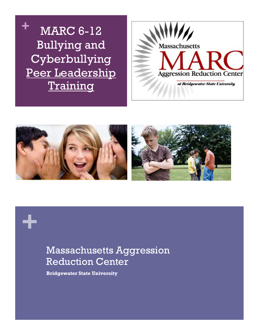





# Massachusetts Aggression Reduction Center

**Bridgewater State University**

**+**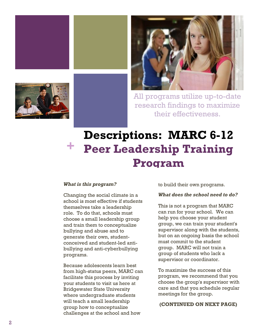





All programs utilize up-to-date research findings to maximize their effectiveness.

## **Descriptions: MARC 6-12 Peer Leadership Training Program +**

#### *What is this program?*

Changing the social climate in a school is most effective if students themselves take a leadership role. To do that, schools must choose a small leadership group and train them to conceptualize bullying and abuse and to generate their own, studentconceived and student-led antibullying and anti-cyberbullying programs.

Because adolescents learn best from high-status peers, MARC can facilitate this process by inviting your students to visit us here at Bridgewater State University where undergraduate students will teach a small leadership group how to conceptualize challenges at the school and how

to build their own programs.

#### *What does the school need to do?*

This is not a program that MARC can run for your school. We can help you choose your student group, we can train your student's supervisor along with the students, but on an ongoing basis the school must commit to the student group. MARC will not train a group of students who lack a supervisor or coordinator.

To maximize the success of this program, we recommend that you choose the group's supervisor with care and that you schedule regular meetings for the group.

#### **(CONTINUED ON NEXT PAGE)**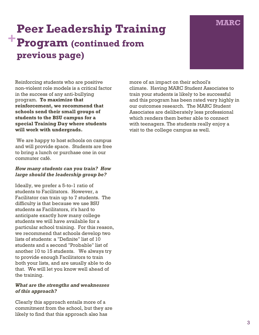### **Peer Leadership Training COVERT AT A PEAK CONTROL Program (continued from previous page) +**



Reinforcing students who are positive non-violent role models is a critical factor in the success of any anti-bullying program. **To maximize that reinforcement, we recommend that schools send their small groups of students to the BSU campus for a special Training Day where students will work with undergrads.**

We are happy to host schools on campus and will provide space. Students are free to bring a lunch or purchase one in our commuter café.

### *How many students can you train? How large should the leadership group be?*

Ideally, we prefer a 5-to-1 ratio of students to Facilitators. However, a Facilitator can train up to 7 students. The difficulty is that because we use BSU students as Facilitators, it's hard to anticipate exactly how many college students we will have available for a particular school training. For this reason, we recommend that schools develop two lists of students: a "Definite" list of 10 students and a second "Probable" list of another 10 to 15 students. We always try to provide enough Facilitators to train both your lists, and are usually able to do that. We will let you know well ahead of the training.

#### *What are the strengths and weaknesses of this approach?*

Clearly this approach entails more of a commitment from the school, but they are likely to find that this approach also has

more of an impact on their school's climate. Having MARC Student Associates to train your students is likely to be successful and this program has been rated very highly in our outcomes research. The MARC Student Associates are deliberately less professional which renders them better able to connect with teenagers. The students really enjoy a visit to the college campus as well.